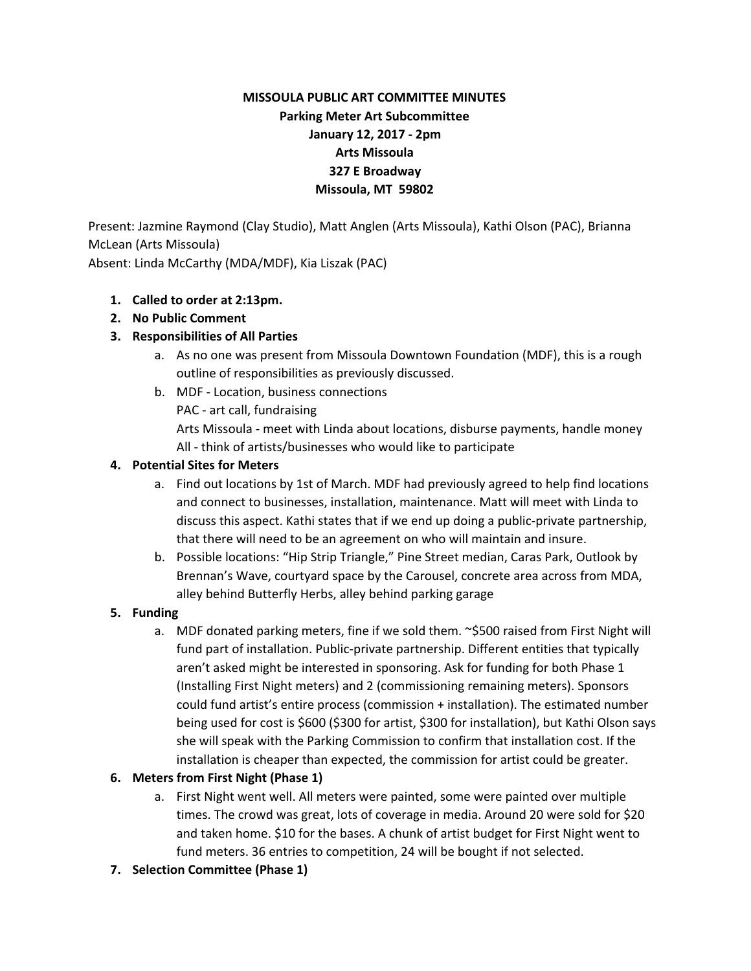# **MISSOULA PUBLIC ART COMMITTEE MINUTES Parking Meter Art Subcommittee January 12, 2017 - 2pm Arts Missoula 327 E Broadway Missoula, MT 59802**

Present: Jazmine Raymond (Clay Studio), Matt Anglen (Arts Missoula), Kathi Olson (PAC), Brianna McLean (Arts Missoula) Absent: Linda McCarthy (MDA/MDF), Kia Liszak (PAC)

### **1. Called to order at 2:13pm.**

### **2. No Public Comment**

### **3. Responsibilities of All Parties**

- a. As no one was present from Missoula Downtown Foundation (MDF), this is a rough outline of responsibilities as previously discussed.
- b. MDF Location, business connections PAC - art call, fundraising Arts Missoula - meet with Linda about locations, disburse payments, handle money All - think of artists/businesses who would like to participate

### **4. Potential Sites for Meters**

- a. Find out locations by 1st of March. MDF had previously agreed to help find locations and connect to businesses, installation, maintenance. Matt will meet with Linda to discuss this aspect. Kathi states that if we end up doing a public-private partnership, that there will need to be an agreement on who will maintain and insure.
- b. Possible locations: "Hip Strip Triangle," Pine Street median, Caras Park, Outlook by Brennan's Wave, courtyard space by the Carousel, concrete area across from MDA, alley behind Butterfly Herbs, alley behind parking garage

### **5. Funding**

a. MDF donated parking meters, fine if we sold them. ~\$500 raised from First Night will fund part of installation. Public-private partnership. Different entities that typically aren't asked might be interested in sponsoring. Ask for funding for both Phase 1 (Installing First Night meters) and 2 (commissioning remaining meters). Sponsors could fund artist's entire process (commission + installation). The estimated number being used for cost is \$600 (\$300 for artist, \$300 for installation), but Kathi Olson says she will speak with the Parking Commission to confirm that installation cost. If the installation is cheaper than expected, the commission for artist could be greater.

### **6. Meters from First Night (Phase 1)**

- a. First Night went well. All meters were painted, some were painted over multiple times. The crowd was great, lots of coverage in media. Around 20 were sold for \$20 and taken home. \$10 for the bases. A chunk of artist budget for First Night went to fund meters. 36 entries to competition, 24 will be bought if not selected.
- **7. Selection Committee (Phase 1)**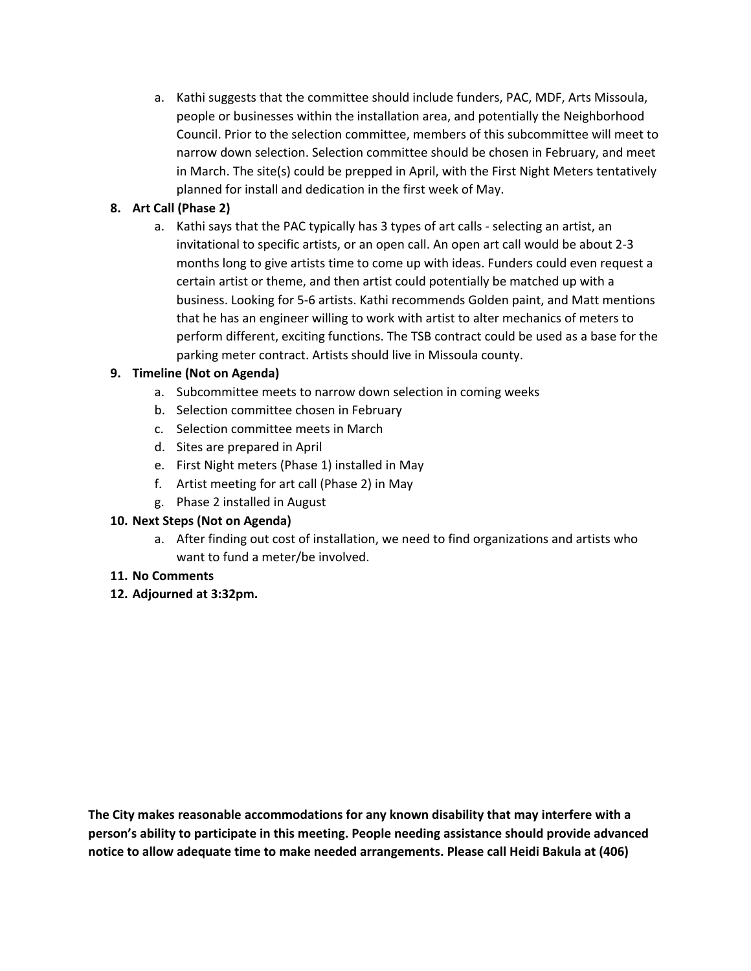a. Kathi suggests that the committee should include funders, PAC, MDF, Arts Missoula, people or businesses within the installation area, and potentially the Neighborhood Council. Prior to the selection committee, members of this subcommittee will meet to narrow down selection. Selection committee should be chosen in February, and meet in March. The site(s) could be prepped in April, with the First Night Meters tentatively planned for install and dedication in the first week of May.

## **8. Art Call (Phase 2)**

a. Kathi says that the PAC typically has 3 types of art calls - selecting an artist, an invitational to specific artists, or an open call. An open art call would be about 2-3 months long to give artists time to come up with ideas. Funders could even request a certain artist or theme, and then artist could potentially be matched up with a business. Looking for 5-6 artists. Kathi recommends Golden paint, and Matt mentions that he has an engineer willing to work with artist to alter mechanics of meters to perform different, exciting functions. The TSB contract could be used as a base for the parking meter contract. Artists should live in Missoula county.

### **9. Timeline (Not on Agenda)**

- a. Subcommittee meets to narrow down selection in coming weeks
- b. Selection committee chosen in February
- c. Selection committee meets in March
- d. Sites are prepared in April
- e. First Night meters (Phase 1) installed in May
- f. Artist meeting for art call (Phase 2) in May
- g. Phase 2 installed in August

### **10. Next Steps (Not on Agenda)**

a. After finding out cost of installation, we need to find organizations and artists who want to fund a meter/be involved.

### **11. No Comments**

**12. Adjourned at 3:32pm.**

**The City makes reasonable accommodations for any known disability that may interfere with a person's ability to participate in this meeting. People needing assistance should provide advanced notice to allow adequate time to make needed arrangements. Please call Heidi Bakula at (406)**